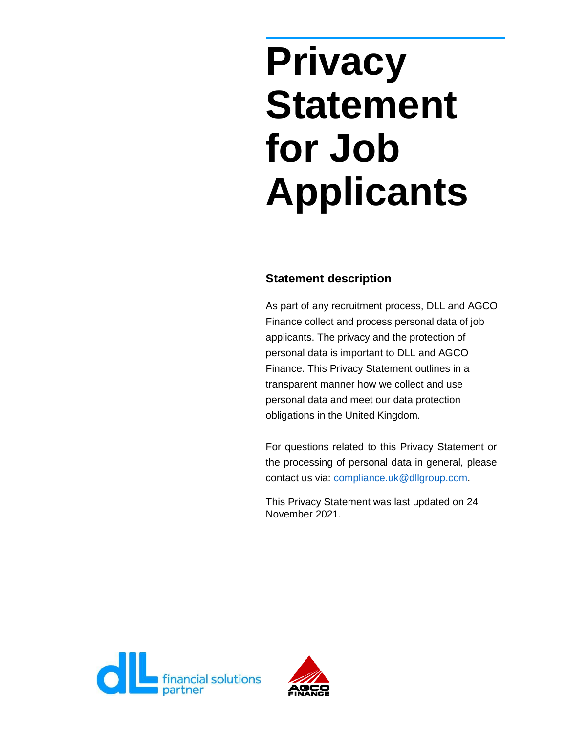# **Privacy Statement for Job Applicants**

## **Statement description**

As part of any recruitment process, DLL and AGCO Finance collect and process personal data of job applicants. The privacy and the protection of personal data is important to DLL and AGCO Finance. This Privacy Statement outlines in a transparent manner how we collect and use personal data and meet our data protection obligations in the United Kingdom.

For questions related to this Privacy Statement or the processing of personal data in general, please contact us via: [compliance.uk@dllgroup.com.](mailto:compliance.uk@dllgroup.com)

This Privacy Statement was last updated on 24 November 2021.



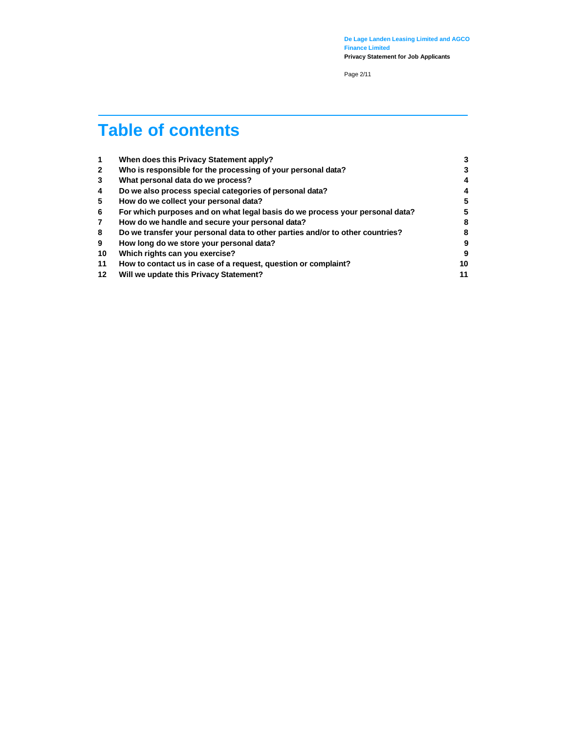Page 2/11

## **Table of contents**

| $\mathbf 1$             | When does this Privacy Statement apply?                                       | 3  |
|-------------------------|-------------------------------------------------------------------------------|----|
| $\overline{2}$          | Who is responsible for the processing of your personal data?                  | 3  |
| 3                       | What personal data do we process?                                             | 4  |
| $\overline{\mathbf{4}}$ | Do we also process special categories of personal data?                       | 4  |
| 5                       | How do we collect your personal data?                                         | 5  |
| 6                       | For which purposes and on what legal basis do we process your personal data?  | 5  |
| $\overline{7}$          | How do we handle and secure your personal data?                               | 8  |
| 8                       | Do we transfer your personal data to other parties and/or to other countries? | 8  |
| 9                       | How long do we store your personal data?                                      | 9  |
| 10                      | Which rights can you exercise?                                                | 9  |
| 11                      | How to contact us in case of a request, question or complaint?                | 10 |
| 12                      | Will we update this Privacy Statement?                                        | 11 |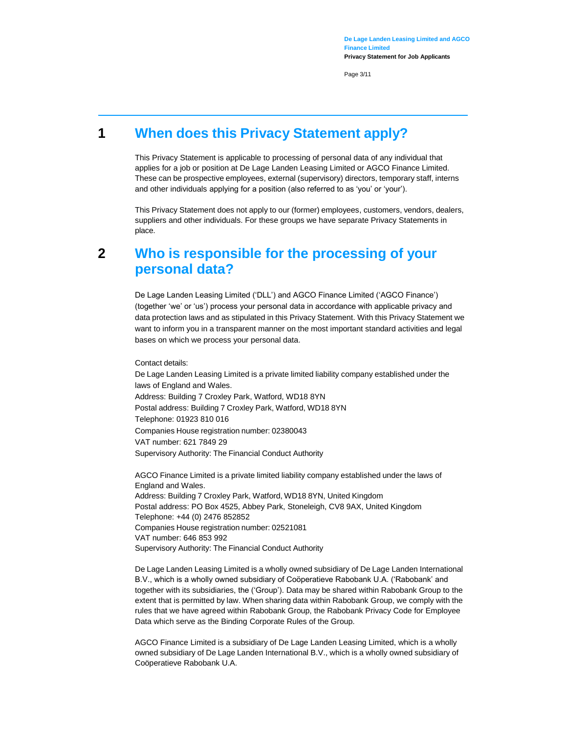Page 3/11

## <span id="page-2-0"></span>**1 When does this Privacy Statement apply?**

This Privacy Statement is applicable to processing of personal data of any individual that applies for a job or position at De Lage Landen Leasing Limited or AGCO Finance Limited. These can be prospective employees, external (supervisory) directors, temporary staff, interns and other individuals applying for a position (also referred to as 'you' or 'your').

This Privacy Statement does not apply to our (former) employees, customers, vendors, dealers, suppliers and other individuals. For these groups we have separate Privacy Statements in place.

## <span id="page-2-1"></span>**2 Who is responsible for the processing of your personal data?**

De Lage Landen Leasing Limited ('DLL') and AGCO Finance Limited ('AGCO Finance') (together 'we' or 'us') process your personal data in accordance with applicable privacy and data protection laws and as stipulated in this Privacy Statement. With this Privacy Statement we want to inform you in a transparent manner on the most important standard activities and legal bases on which we process your personal data.

Contact details:

De Lage Landen Leasing Limited is a private limited liability company established under the laws of England and Wales. Address: Building 7 Croxley Park, Watford, WD18 8YN Postal address: Building 7 Croxley Park, Watford, WD18 8YN Telephone: 01923 810 016 Companies House registration number: 02380043 VAT number: 621 7849 29 Supervisory Authority: The Financial Conduct Authority

AGCO Finance Limited is a private limited liability company established under the laws of England and Wales. Address: Building 7 Croxley Park, Watford, WD18 8YN, United Kingdom Postal address: PO Box 4525, Abbey Park, Stoneleigh, CV8 9AX, United Kingdom Telephone: +44 (0) 2476 852852 Companies House registration number: 02521081 VAT number: 646 853 992 Supervisory Authority: The Financial Conduct Authority

De Lage Landen Leasing Limited is a wholly owned subsidiary of De Lage Landen International B.V., which is a wholly owned subsidiary of Coöperatieve Rabobank U.A. ('Rabobank' and together with its subsidiaries, the ('Group'). Data may be shared within Rabobank Group to the extent that is permitted by law. When sharing data within Rabobank Group, we comply with the rules that we have agreed within Rabobank Group, the Rabobank Privacy Code for Employee Data which serve as the Binding Corporate Rules of the Group.

AGCO Finance Limited is a subsidiary of De Lage Landen Leasing Limited, which is a wholly owned subsidiary of De Lage Landen International B.V., which is a wholly owned subsidiary of Coöperatieve Rabobank U.A.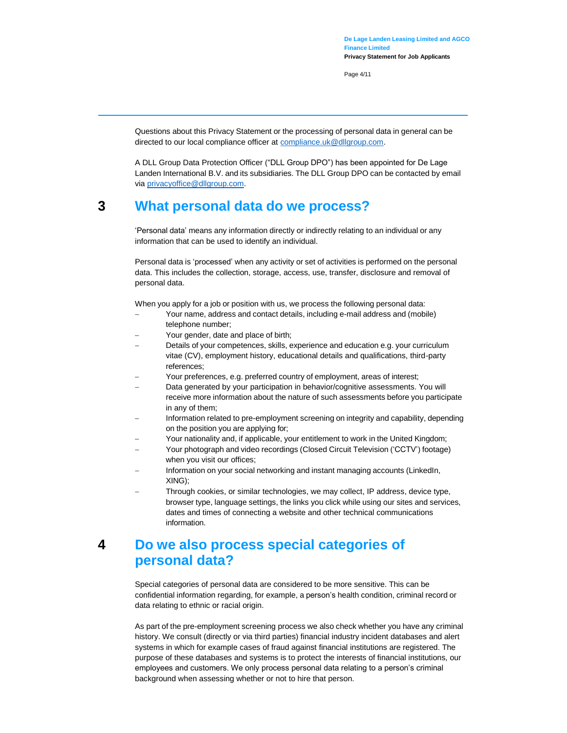Page 4/11

Questions about this Privacy Statement or the processing of personal data in general can be directed to our local compliance officer at **compliance.uk@dllgroup.com**.

A DLL Group Data Protection Officer ("DLL Group DPO") has been appointed for De Lage Landen International B.V. and its subsidiaries. The DLL Group DPO can be contacted by email via [privacyoffice@dllgroup.com.](mailto:privacyoffice@dllgroup.com)

## <span id="page-3-0"></span>**3 What personal data do we process?**

'Personal data' means any information directly or indirectly relating to an individual or any information that can be used to identify an individual.

Personal data is 'processed' when any activity or set of activities is performed on the personal data. This includes the collection, storage, access, use, transfer, disclosure and removal of personal data.

When you apply for a job or position with us, we process the following personal data:

- Your name, address and contact details, including e-mail address and (mobile) telephone number;
- Your gender, date and place of birth;
- Details of your competences, skills, experience and education e.g. your curriculum vitae (CV), employment history, educational details and qualifications, third-party references;
- Your preferences, e.g. preferred country of employment, areas of interest;
- Data generated by your participation in behavior/cognitive assessments. You will receive more information about the nature of such assessments before you participate in any of them;
- Information related to pre-employment screening on integrity and capability, depending on the position you are applying for;
- Your nationality and, if applicable, your entitlement to work in the United Kingdom;
- Your photograph and video recordings (Closed Circuit Television ('CCTV') footage) when you visit our offices;
- Information on your social networking and instant managing accounts (LinkedIn, XING);
- Through cookies, or similar technologies, we may collect, IP address, device type, browser type, language settings, the links you click while using our sites and services, dates and times of connecting a website and other technical communications information.

## <span id="page-3-1"></span>**4 Do we also process special categories of personal data?**

Special categories of personal data are considered to be more sensitive. This can be confidential information regarding, for example, a person's health condition, criminal record or data relating to ethnic or racial origin.

As part of the pre-employment screening process we also check whether you have any criminal history. We consult (directly or via third parties) financial industry incident databases and alert systems in which for example cases of fraud against financial institutions are registered. The purpose of these databases and systems is to protect the interests of financial institutions, our employees and customers. We only process personal data relating to a person's criminal background when assessing whether or not to hire that person.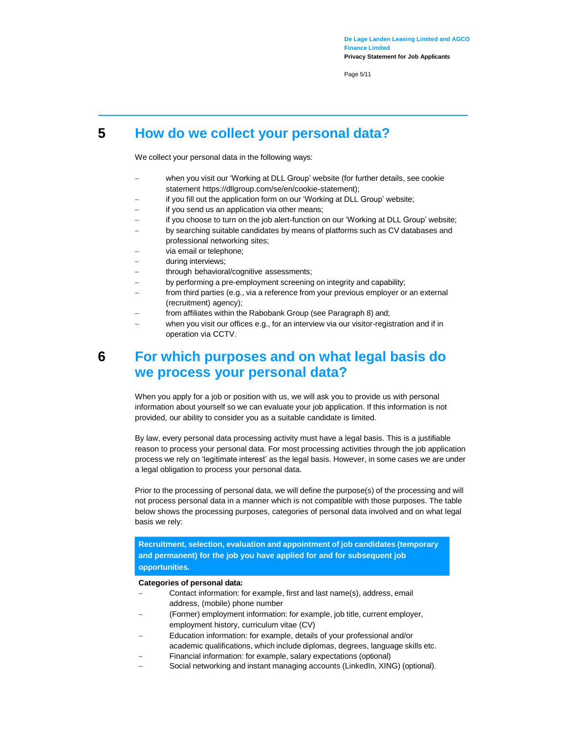Page 5/11

## <span id="page-4-0"></span>**5 How do we collect your personal data?**

We collect your personal data in the following ways:

- when you visit our 'Working at DLL Group' website (for further details, see cookie statement https://dllgroup.com/se/en/cookie-statement);
- if you fill out the application form on our 'Working at DLL Group' website;
- if you send us an application via other means;
- if you choose to turn on the job alert-function on our 'Working at DLL Group' website;
- by searching suitable candidates by means of platforms such as CV databases and professional networking sites;
- via email or telephone;
- during interviews;
- through behavioral/cognitive assessments;
- by performing a pre-employment screening on integrity and capability;
- from third parties (e.g., via a reference from your previous employer or an external (recruitment) agency);
- from affiliates within the Rabobank Group (see Paragraph 8) and;
- when you visit our offices e.g., for an interview via our visitor-registration and if in operation via CCTV.

## <span id="page-4-1"></span>**6 For which purposes and on what legal basis do we process your personal data?**

When you apply for a job or position with us, we will ask you to provide us with personal information about yourself so we can evaluate your job application. If this information is not provided, our ability to consider you as a suitable candidate is limited.

By law, every personal data processing activity must have a legal basis. This is a justifiable reason to process your personal data. For most processing activities through the job application process we rely on 'legitimate interest' as the legal basis. However, in some cases we are under a legal obligation to process your personal data.

Prior to the processing of personal data, we will define the purpose(s) of the processing and will not process personal data in a manner which is not compatible with those purposes. The table below shows the processing purposes, categories of personal data involved and on what legal basis we rely:

**Recruitment, selection, evaluation and appointment of job candidates (temporary and permanent) for the job you have applied for and for subsequent job opportunities.**

#### **Categories of personal data:**

- Contact information: for example, first and last name(s), address, email address, (mobile) phone number
- (Former) employment information: for example, job title, current employer, employment history, curriculum vitae (CV)
- Education information: for example, details of your professional and/or academic qualifications, which include diplomas, degrees, language skills etc.
- Financial information: for example, salary expectations (optional)
- Social networking and instant managing accounts (LinkedIn, XING) (optional).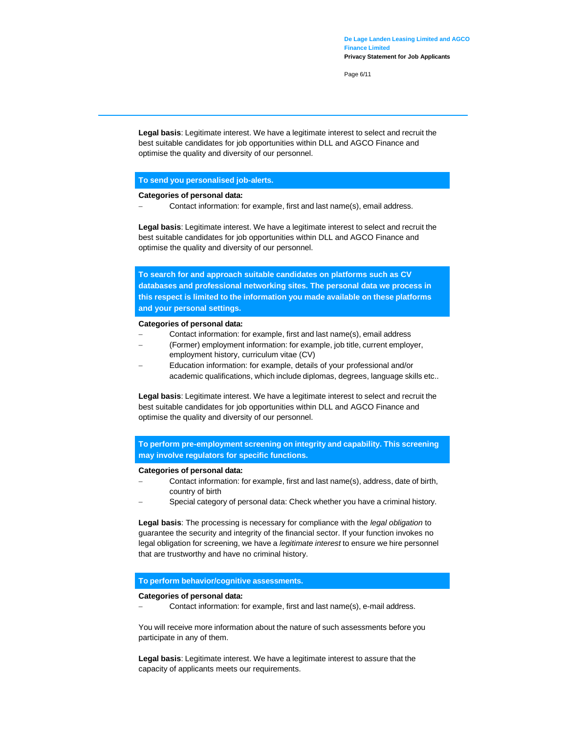Page 6/11

**Legal basis**: Legitimate interest. We have a legitimate interest to select and recruit the best suitable candidates for job opportunities within DLL and AGCO Finance and optimise the quality and diversity of our personnel.

#### **To send you personalised job-alerts.**

#### **Categories of personal data:**

Contact information: for example, first and last name(s), email address.

**Legal basis**: Legitimate interest. We have a legitimate interest to select and recruit the best suitable candidates for job opportunities within DLL and AGCO Finance and optimise the quality and diversity of our personnel.

**To search for and approach suitable candidates on platforms such as CV databases and professional networking sites. The personal data we process in this respect is limited to the information you made available on these platforms and your personal settings.**

#### **Categories of personal data:**

- Contact information: for example, first and last name(s), email address
- (Former) employment information: for example, job title, current employer, employment history, curriculum vitae (CV)
- Education information: for example, details of your professional and/or academic qualifications, which include diplomas, degrees, language skills etc..

**Legal basis**: Legitimate interest. We have a legitimate interest to select and recruit the best suitable candidates for job opportunities within DLL and AGCO Finance and optimise the quality and diversity of our personnel.

**To perform pre-employment screening on integrity and capability. This screening may involve regulators for specific functions.**

#### **Categories of personal data:**

- Contact information: for example, first and last name(s), address, date of birth, country of birth
- Special category of personal data: Check whether you have a criminal history.

**Legal basis**: The processing is necessary for compliance with the *legal obligation* to guarantee the security and integrity of the financial sector. If your function invokes no legal obligation for screening, we have a *legitimate interest* to ensure we hire personnel that are trustworthy and have no criminal history.

#### **To perform behavior/cognitive assessments.**

#### **Categories of personal data:**

Contact information: for example, first and last name(s), e-mail address.

You will receive more information about the nature of such assessments before you participate in any of them.

**Legal basis**: Legitimate interest. We have a legitimate interest to assure that the capacity of applicants meets our requirements.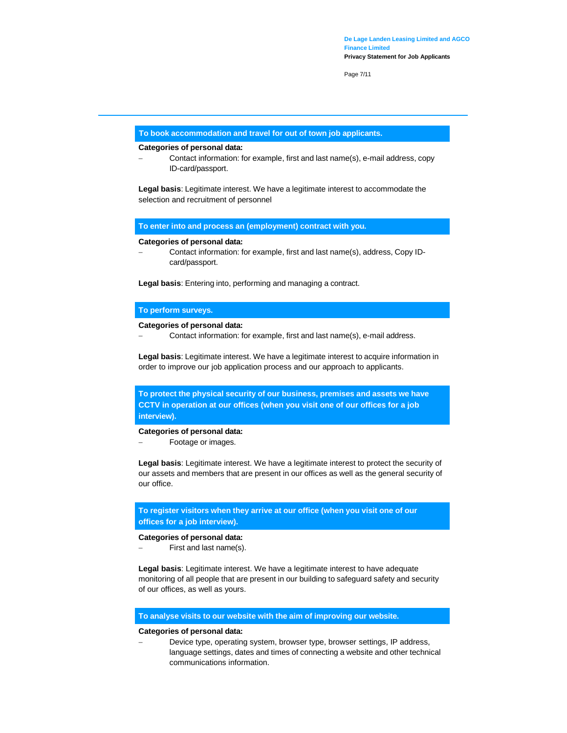Page 7/11

#### **To book accommodation and travel for out of town job applicants.**

#### **Categories of personal data:**

 Contact information: for example, first and last name(s), e-mail address, copy ID-card/passport.

**Legal basis**: Legitimate interest. We have a legitimate interest to accommodate the selection and recruitment of personnel

**To enter into and process an (employment) contract with you.**

**Categories of personal data:**

 Contact information: for example, first and last name(s), address, Copy IDcard/passport.

**Legal basis**: Entering into, performing and managing a contract.

#### **To perform surveys.**

#### **Categories of personal data:**

Contact information: for example, first and last name(s), e-mail address.

**Legal basis**: Legitimate interest. We have a legitimate interest to acquire information in order to improve our job application process and our approach to applicants.

**To protect the physical security of our business, premises and assets we have CCTV in operation at our offices (when you visit one of our offices for a job interview).**

#### **Categories of personal data:**

Footage or images.

**Legal basis**: Legitimate interest. We have a legitimate interest to protect the security of our assets and members that are present in our offices as well as the general security of our office.

**To register visitors when they arrive at our office (when you visit one of our offices for a job interview).**

#### **Categories of personal data:**

First and last name(s).

**Legal basis**: Legitimate interest. We have a legitimate interest to have adequate monitoring of all people that are present in our building to safeguard safety and security of our offices, as well as yours.

#### **To analyse visits to our website with the aim of improving our website.**

#### **Categories of personal data:**

 Device type, operating system, browser type, browser settings, IP address, language settings, dates and times of connecting a website and other technical communications information.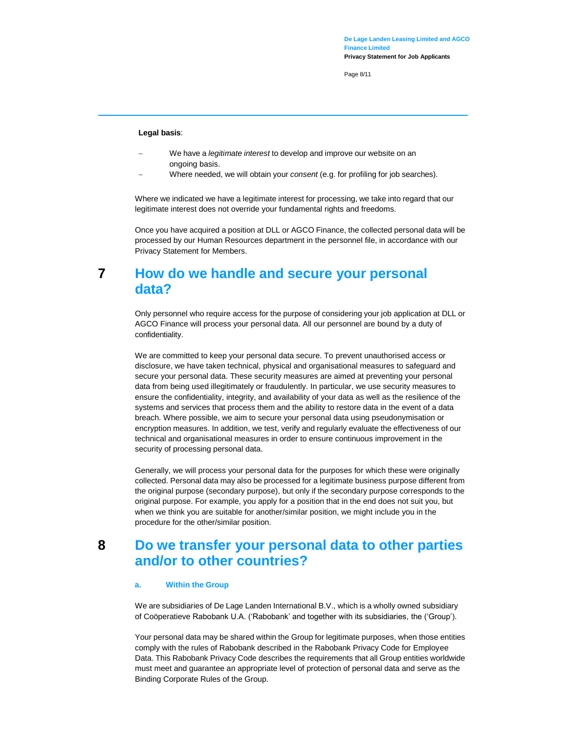Page 8/11

#### **Legal basis**:

- We have a *legitimate interest* to develop and improve our website on an ongoing basis.
- Where needed, we will obtain your *consent* (e.g. for profiling for job searches).

Where we indicated we have a legitimate interest for processing, we take into regard that our legitimate interest does not override your fundamental rights and freedoms.

Once you have acquired a position at DLL or AGCO Finance, the collected personal data will be processed by our Human Resources department in the personnel file, in accordance with our Privacy Statement for Members.

## <span id="page-7-0"></span>**7 How do we handle and secure your personal data?**

Only personnel who require access for the purpose of considering your job application at DLL or AGCO Finance will process your personal data. All our personnel are bound by a duty of confidentiality.

We are committed to keep your personal data secure. To prevent unauthorised access or disclosure, we have taken technical, physical and organisational measures to safeguard and secure your personal data. These security measures are aimed at preventing your personal data from being used illegitimately or fraudulently. In particular, we use security measures to ensure the confidentiality, integrity, and availability of your data as well as the resilience of the systems and services that process them and the ability to restore data in the event of a data breach. Where possible, we aim to secure your personal data using pseudonymisation or encryption measures. In addition, we test, verify and regularly evaluate the effectiveness of our technical and organisational measures in order to ensure continuous improvement in the security of processing personal data.

Generally, we will process your personal data for the purposes for which these were originally collected. Personal data may also be processed for a legitimate business purpose different from the original purpose (secondary purpose), but only if the secondary purpose corresponds to the original purpose. For example, you apply for a position that in the end does not suit you, but when we think you are suitable for another/similar position, we might include you in the procedure for the other/similar position.

## <span id="page-7-1"></span>**8 Do we transfer your personal data to other parties and/or to other countries?**

#### **a. Within the Group**

We are subsidiaries of De Lage Landen International B.V., which is a wholly owned subsidiary of Coöperatieve Rabobank U.A. ('Rabobank' and together with its subsidiaries, the ('Group').

Your personal data may be shared within the Group for legitimate purposes, when those entities comply with the rules of Rabobank described in the Rabobank Privacy Code for Employee Data. This Rabobank Privacy Code describes the requirements that all Group entities worldwide must meet and guarantee an appropriate level of protection of personal data and serve as the Binding Corporate Rules of the Group.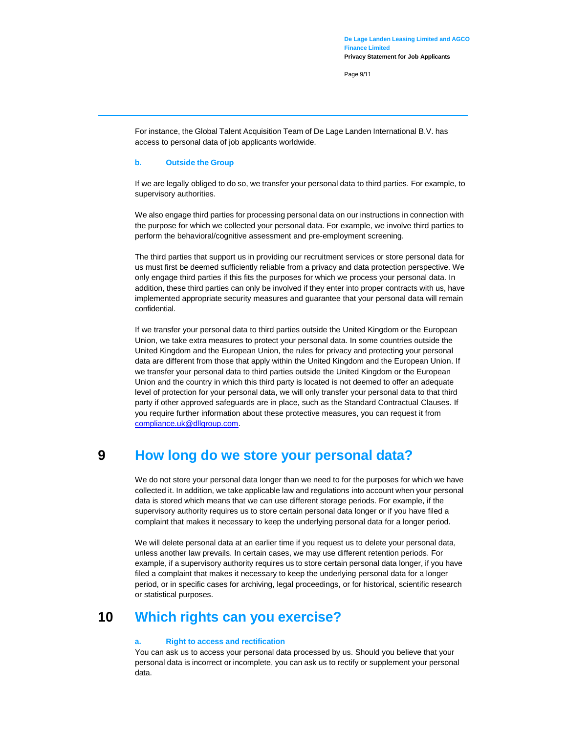Page 9/11

For instance, the Global Talent Acquisition Team of De Lage Landen International B.V. has access to personal data of job applicants worldwide.

#### **b. Outside the Group**

If we are legally obliged to do so, we transfer your personal data to third parties. For example, to supervisory authorities.

We also engage third parties for processing personal data on our instructions in connection with the purpose for which we collected your personal data. For example, we involve third parties to perform the behavioral/cognitive assessment and pre-employment screening.

The third parties that support us in providing our recruitment services or store personal data for us must first be deemed sufficiently reliable from a privacy and data protection perspective. We only engage third parties if this fits the purposes for which we process your personal data. In addition, these third parties can only be involved if they enter into proper contracts with us, have implemented appropriate security measures and guarantee that your personal data will remain confidential.

If we transfer your personal data to third parties outside the United Kingdom or the European Union, we take extra measures to protect your personal data. In some countries outside the United Kingdom and the European Union, the rules for privacy and protecting your personal data are different from those that apply within the United Kingdom and the European Union. If we transfer your personal data to third parties outside the United Kingdom or the European Union and the country in which this third party is located is not deemed to offer an adequate level of protection for your personal data, we will only transfer your personal data to that third party if other approved safeguards are in place, such as the Standard Contractual Clauses. If you require further information about these protective measures, you can request it from [compliance.uk@dllgroup.com.](mailto:compliance.uk@dllgroup.com) 

### <span id="page-8-0"></span>**9 How long do we store your personal data?**

We do not store your personal data longer than we need to for the purposes for which we have collected it. In addition, we take applicable law and regulations into account when your personal data is stored which means that we can use different storage periods. For example, if the supervisory authority requires us to store certain personal data longer or if you have filed a complaint that makes it necessary to keep the underlying personal data for a longer period.

We will delete personal data at an earlier time if you request us to delete your personal data, unless another law prevails. In certain cases, we may use different retention periods. For example, if a supervisory authority requires us to store certain personal data longer, if you have filed a complaint that makes it necessary to keep the underlying personal data for a longer period, or in specific cases for archiving, legal proceedings, or for historical, scientific research or statistical purposes.

## <span id="page-8-1"></span>**10 Which rights can you exercise?**

#### **a. Right to access and rectification**

You can ask us to access your personal data processed by us. Should you believe that your personal data is incorrect or incomplete, you can ask us to rectify or supplement your personal data.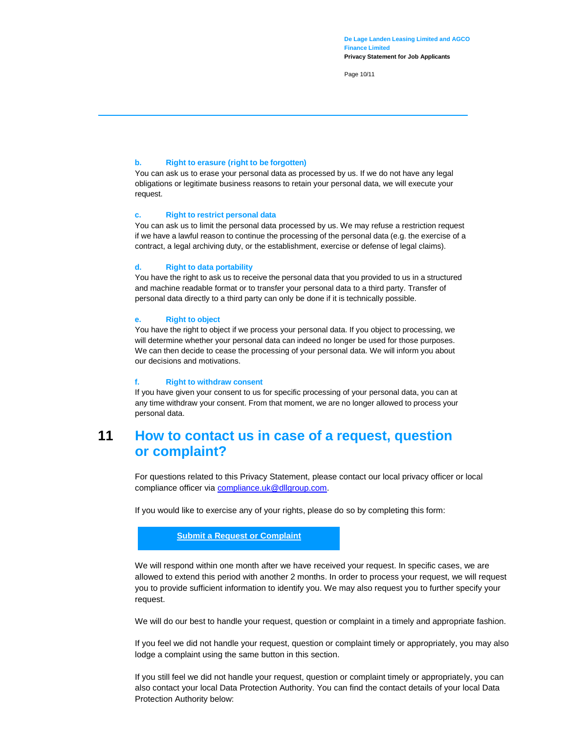Page 10/11

#### **b. Right to erasure (right to be forgotten)**

You can ask us to erase your personal data as processed by us. If we do not have any legal obligations or legitimate business reasons to retain your personal data, we will execute your request.

#### **c. Right to restrict personal data**

You can ask us to limit the personal data processed by us. We may refuse a restriction request if we have a lawful reason to continue the processing of the personal data (e.g. the exercise of a contract, a legal archiving duty, or the establishment, exercise or defense of legal claims).

#### **d. Right to data portability**

You have the right to ask us to receive the personal data that you provided to us in a structured and machine readable format or to transfer your personal data to a third party. Transfer of personal data directly to a third party can only be done if it is technically possible.

#### **e. Right to object**

You have the right to object if we process your personal data. If you object to processing, we will determine whether your personal data can indeed no longer be used for those purposes. We can then decide to cease the processing of your personal data. We will inform you about our decisions and motivations.

#### **f. Right to withdraw consent**

If you have given your consent to us for specific processing of your personal data, you can at any time withdraw your consent. From that moment, we are no longer allowed to process your personal data.

## <span id="page-9-0"></span>**11 How to contact us in case of a request, question or complaint?**

For questions related to this Privacy Statement, please contact our local privacy officer or local compliance officer via [compliance.uk@dllgroup.com.](mailto:compliance.uk@dllgroup.com)

If you would like to exercise any of your rights, please do so by completing this form:

#### **[Submit a Request or Complaint](https://privacyportal-de.onetrust.com/webform/4c656190-7a88-4118-8ba1-357d94108f4e/e31fb72c-9e1b-491d-b81d-58b50065a86d)**

We will respond within one month after we have received your request. In specific cases, we are allowed to extend this period with another 2 months. In order to process your request, we will request you to provide sufficient information to identify you. We may also request you to further specify your request.

We will do our best to handle your request, question or complaint in a timely and appropriate fashion.

If you feel we did not handle your request, question or complaint timely or appropriately, you may also lodge a complaint using the same button in this section.

If you still feel we did not handle your request, question or complaint timely or appropriately, you can also contact your local Data Protection Authority. You can find the contact details of your local Data Protection Authority below: